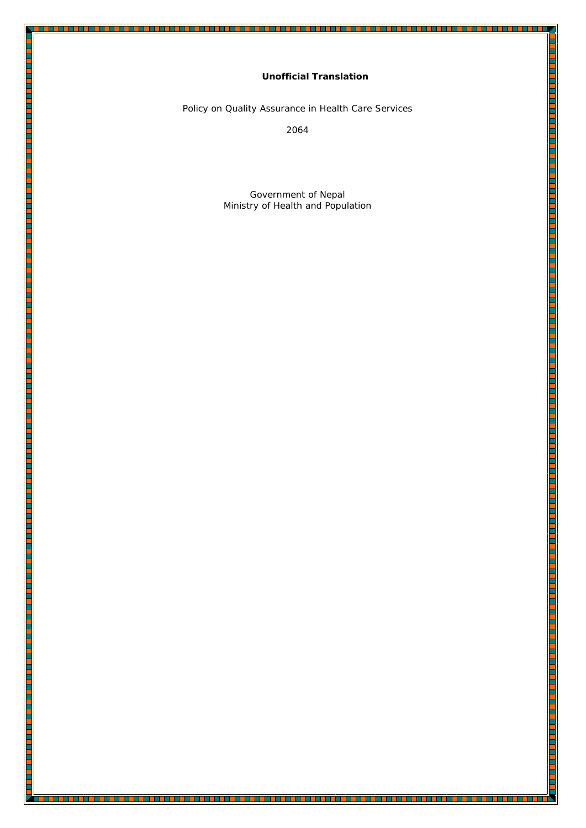# **Unofficial Translation**

L

**THEFT** 

Policy on Quality Assurance in Health Care Services

<u>start i de et de de forma de la delegación de la de la de la de de la de la de la de la de la de la de la de l</u>

E

i<br>T

i<br>List E

<u>i</u>

<u>i i provinci provinci provinci provinci provinci provinci provinci provinci provinci provinci provinci provinci provi</u>

2064

Government of Nepal Ministry of Health and Population

<u> 1999 - 1999 - 1999 - 1999 - 1999 - 1999 - 1990 - 1990 - 1990 - 1990 - 1990 - 1990 - 1990 - 1990 - 1990 - 199</u>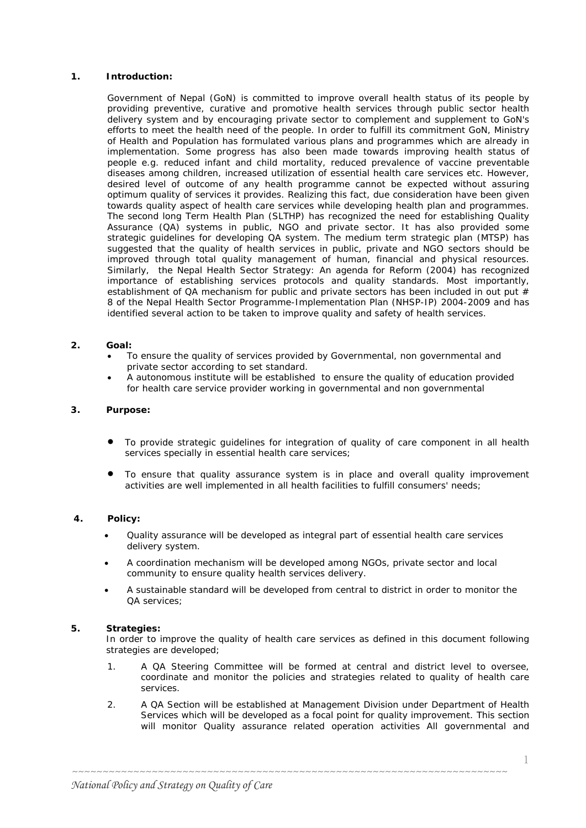## **1. Introduction:**

Government of Nepal (GoN) is committed to improve overall health status of its people by providing preventive, curative and promotive health services through public sector health delivery system and by encouraging private sector to complement and supplement to GoN's efforts to meet the health need of the people. In order to fulfill its commitment GoN, Ministry of Health and Population has formulated various plans and programmes which are already in implementation. Some progress has also been made towards improving health status of people e.g. reduced infant and child mortality, reduced prevalence of vaccine preventable diseases among children, increased utilization of essential health care services etc. However, desired level of outcome of any health programme cannot be expected without assuring optimum quality of services it provides. Realizing this fact, due consideration have been given towards quality aspect of health care services while developing health plan and programmes. The second long Term Health Plan (SLTHP) has recognized the need for establishing Quality Assurance (QA) systems in public, NGO and private sector. It has also provided some strategic guidelines for developing QA system. The medium term strategic plan (MTSP) has suggested that the quality of health services in public, private and NGO sectors should be improved through total quality management of human, financial and physical resources. Similarly, the Nepal Health Sector Strategy: An agenda for Reform (2004) has recognized importance of establishing services protocols and quality standards. Most importantly, establishment of QA mechanism for public and private sectors has been included in out put # 8 of the Nepal Health Sector Programme-Implementation Plan (NHSP-IP) 2004-2009 and has identified several action to be taken to improve quality and safety of health services.

#### **2. Goal:**

- To ensure the quality of services provided by Governmental, non governmental and private sector according to set standard.
- A autonomous institute will be established to ensure the quality of education provided for health care service provider working in governmental and non governmental

#### **3. Purpose:**

- To provide strategic guidelines for integration of quality of care component in all health services specially in essential health care services;
- To ensure that quality assurance system is in place and overall quality improvement activities are well implemented in all health facilities to fulfill consumers' needs;

### **4. Policy:**

- Quality assurance will be developed as integral part of essential health care services delivery system.
- A coordination mechanism will be developed among NGOs, private sector and local community to ensure quality health services delivery.
- A sustainable standard will be developed from central to district in order to monitor the QA services;

### **5. Strategies:**

In order to improve the quality of health care services as defined in this document following strategies are developed;

- 1. A QA Steering Committee will be formed at central and district level to oversee, coordinate and monitor the policies and strategies related to quality of health care services.
- 2. A QA Section will be established at Management Division under Department of Health Services which will be developed as a focal point for quality improvement. This section will monitor Quality assurance related operation activities All governmental and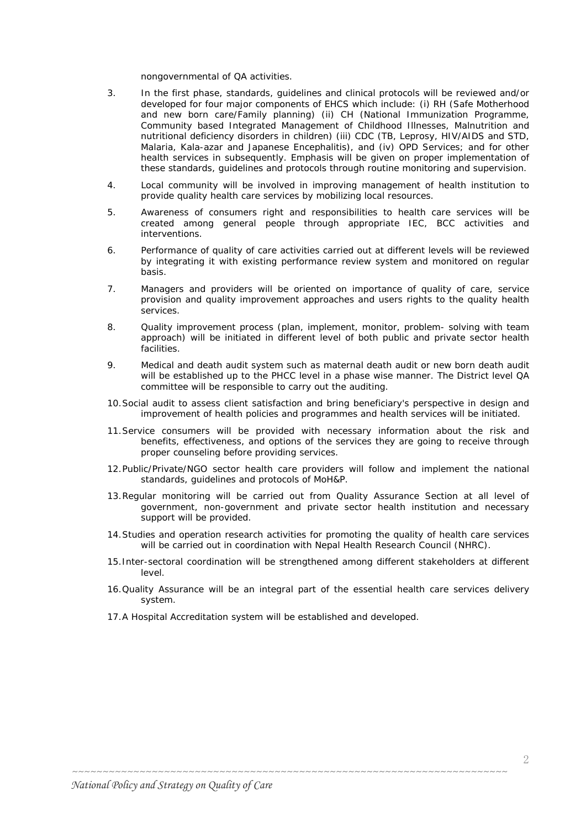nongovernmental of QA activities.

- 3. In the first phase, standards, guidelines and clinical protocols will be reviewed and/or developed for four major components of EHCS which include: (i) RH (Safe Motherhood and new born care/Family planning) (ii) CH (National Immunization Programme, Community based Integrated Management of Childhood Illnesses, Malnutrition and nutritional deficiency disorders in children) (iii) CDC (TB, Leprosy, HIV/AIDS and STD, Malaria, Kala-azar and Japanese Encephalitis), and (iv) OPD Services; and for other health services in subsequently. Emphasis will be given on proper implementation of these standards, guidelines and protocols through routine monitoring and supervision.
- 4. Local community will be involved in improving management of health institution to provide quality health care services by mobilizing local resources.
- 5. Awareness of consumers right and responsibilities to health care services will be created among general people through appropriate IEC, BCC activities and interventions.
- 6. Performance of quality of care activities carried out at different levels will be reviewed by integrating it with existing performance review system and monitored on regular basis.
- 7. Managers and providers will be oriented on importance of quality of care, service provision and quality improvement approaches and users rights to the quality health services.
- 8. Quality improvement process (plan, implement, monitor, problem- solving with team approach) will be initiated in different level of both public and private sector health facilities.
- 9. Medical and death audit system such as maternal death audit or new born death audit will be established up to the PHCC level in a phase wise manner. The District level QA committee will be responsible to carry out the auditing.
- 10.Social audit to assess client satisfaction and bring beneficiary's perspective in design and improvement of health policies and programmes and health services will be initiated.
- 11.Service consumers will be provided with necessary information about the risk and benefits, effectiveness, and options of the services they are going to receive through proper counseling before providing services.
- 12.Public/Private/NGO sector health care providers will follow and implement the national standards, guidelines and protocols of MoH&P.
- 13.Regular monitoring will be carried out from Quality Assurance Section at all level of government, non-government and private sector health institution and necessary support will be provided.
- 14.Studies and operation research activities for promoting the quality of health care services will be carried out in coordination with Nepal Health Research Council (NHRC).
- 15.Inter-sectoral coordination will be strengthened among different stakeholders at different level.
- 16.Quality Assurance will be an integral part of the essential health care services delivery system.
- 17.A Hospital Accreditation system will be established and developed.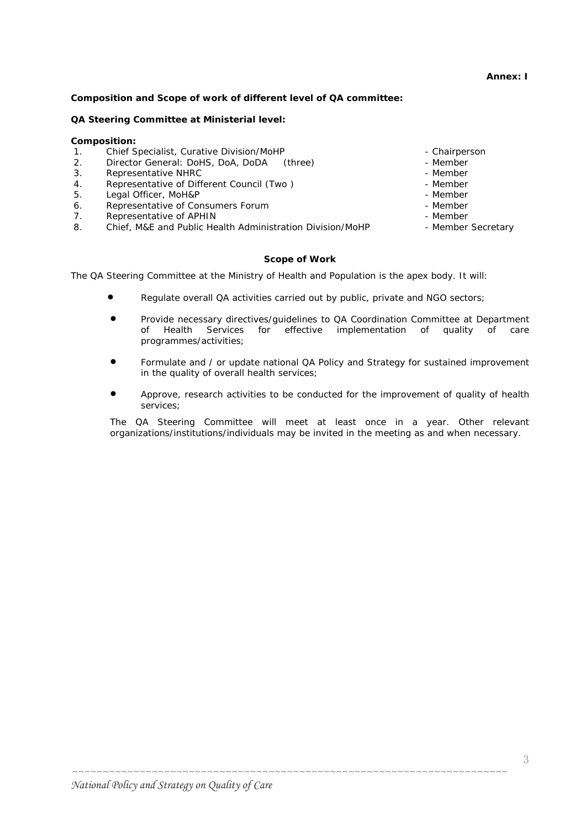# **Composition and Scope of work of different level of QA committee:**

# **QA Steering Committee at Ministerial level:**

# **Composition:**

- 1. Chief Specialist, Curative Division/MoHP Chairperson Chairperson
- 2. Director General: DoHS, DoA, DoDA (three) The Member
- 3. Representative NHRC **and Struck and Struck and Struck and Struck and Struck and Member**
- 4. Representative of Different Council (Two ) and the second version of  $\sim$  1 Member
- 5. Legal Officer, MoH&P Member Member Member Member
- 6. Representative of Consumers Forum **Forman Constant Consumers** Member
- 7. Representative of APHIN  $\overline{a}$  and  $\overline{a}$  and  $\overline{a}$  are Member
- 8. Chief, M&E and Public Health Administration Division/MoHP Member Secretary

# **Scope of Work**

The QA Steering Committee at the Ministry of Health and Population is the apex body. It will:

- Regulate overall QA activities carried out by public, private and NGO sectors;
- Provide necessary directives/guidelines to QA Coordination Committee at Department of Health Services for effective implementation of quality of care programmes/activities;
- Formulate and / or update national QA Policy and Strategy for sustained improvement in the quality of overall health services;
- Approve, research activities to be conducted for the improvement of quality of health services;

The QA Steering Committee will meet at least once in a year. Other relevant organizations/institutions/individuals may be invited in the meeting as and when necessary.

*~~~~~~~~~~~~~~~~~~~~~~~~~~~~~~~~~~~~~~~~~~~~~~~~~~~~~~~~~~~~~~~~~~~~~~~* 

- 
- 
- 
- 
- 
- 
- 

# **Annex: I**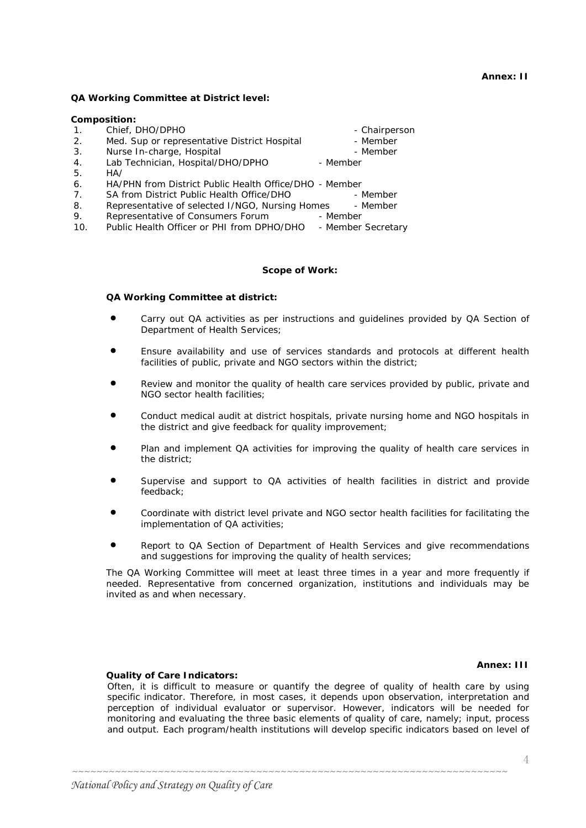## **Annex: II**

## **QA Working Committee at District level:**

### **Composition:**

| 1 <sub>1</sub> | Chief, DHO/DPHO                                        | - Chairperson      |
|----------------|--------------------------------------------------------|--------------------|
| 2.             | Med. Sup or representative District Hospital           | - Member           |
| 3.             | Nurse In-charge, Hospital                              | - Member           |
| 4.             | Lab Technician, Hospital/DHO/DPHO                      | - Member           |
| 5.             | HA/                                                    |                    |
| 6.             | HA/PHN from District Public Health Office/DHO - Member |                    |
| 7.             | SA from District Public Health Office/DHO              | - Member           |
| 8.             | Representative of selected I/NGO, Nursing Homes        | - Member           |
| 9.             | Representative of Consumers Forum                      | - Member           |
| 10.            | Public Health Officer or PHI from DPHO/DHO             | - Member Secretary |

### **Scope of Work:**

#### **QA Working Committee at district:**

- Carry out QA activities as per instructions and quidelines provided by QA Section of Department of Health Services;
- Ensure availability and use of services standards and protocols at different health facilities of public, private and NGO sectors within the district;
- Review and monitor the quality of health care services provided by public, private and NGO sector health facilities;
- Conduct medical audit at district hospitals, private nursing home and NGO hospitals in the district and give feedback for quality improvement;
- Plan and implement QA activities for improving the quality of health care services in the district;
- Supervise and support to QA activities of health facilities in district and provide feedback;
- Coordinate with district level private and NGO sector health facilities for facilitating the implementation of QA activities;
- Report to QA Section of Department of Health Services and give recommendations and suggestions for improving the quality of health services;

The QA Working Committee will meet at least three times in a year and more frequently if needed. Representative from concerned organization, institutions and individuals may be invited as and when necessary.

#### **Annex: III**

#### **Quality of Care Indicators:**

Often, it is difficult to measure or quantify the degree of quality of health care by using specific indicator. Therefore, in most cases, it depends upon observation, interpretation and perception of individual evaluator or supervisor. However, indicators will be needed for monitoring and evaluating the three basic elements of quality of care, namely; input, process and output. Each program/health institutions will develop specific indicators based on level of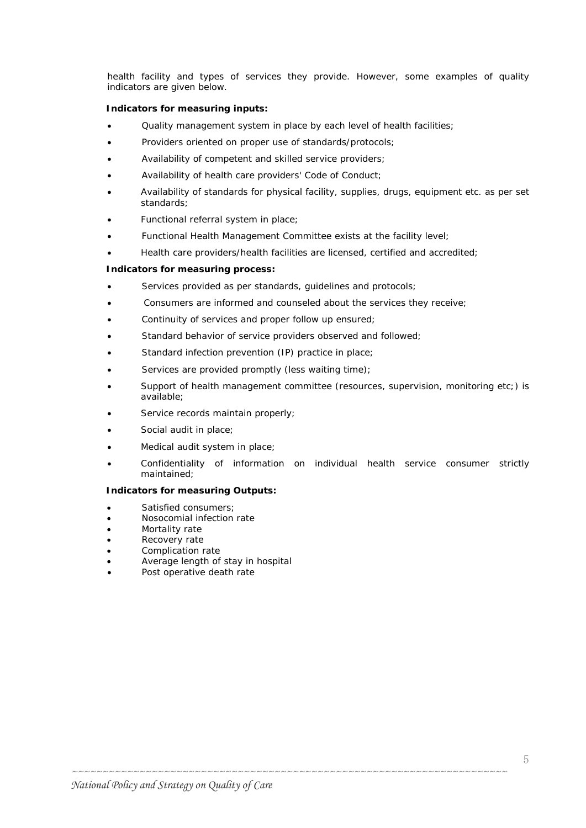health facility and types of services they provide. However, some examples of quality indicators are given below.

## **Indicators for measuring inputs:**

- Quality management system in place by each level of health facilities;
- Providers oriented on proper use of standards/protocols;
- Availability of competent and skilled service providers;
- Availability of health care providers' Code of Conduct;
- Availability of standards for physical facility, supplies, drugs, equipment etc. as per set standards;
- Functional referral system in place;
- Functional Health Management Committee exists at the facility level;
- Health care providers/health facilities are licensed, certified and accredited;

### **Indicators for measuring process:**

- Services provided as per standards, guidelines and protocols;
- Consumers are informed and counseled about the services they receive;
- Continuity of services and proper follow up ensured;
- Standard behavior of service providers observed and followed;
- Standard infection prevention (IP) practice in place;
- Services are provided promptly (less waiting time);
- Support of health management committee (resources, supervision, monitoring etc;) is available;
- Service records maintain properly;
- Social audit in place;
- Medical audit system in place;
- Confidentiality of information on individual health service consumer strictly maintained;

*~~~~~~~~~~~~~~~~~~~~~~~~~~~~~~~~~~~~~~~~~~~~~~~~~~~~~~~~~~~~~~~~~~~~~~~* 

### **Indicators for measuring Outputs:**

- Satisfied consumers;
- Nosocomial infection rate
- Mortality rate
- Recovery rate
- Complication rate
- Average length of stay in hospital
- Post operative death rate